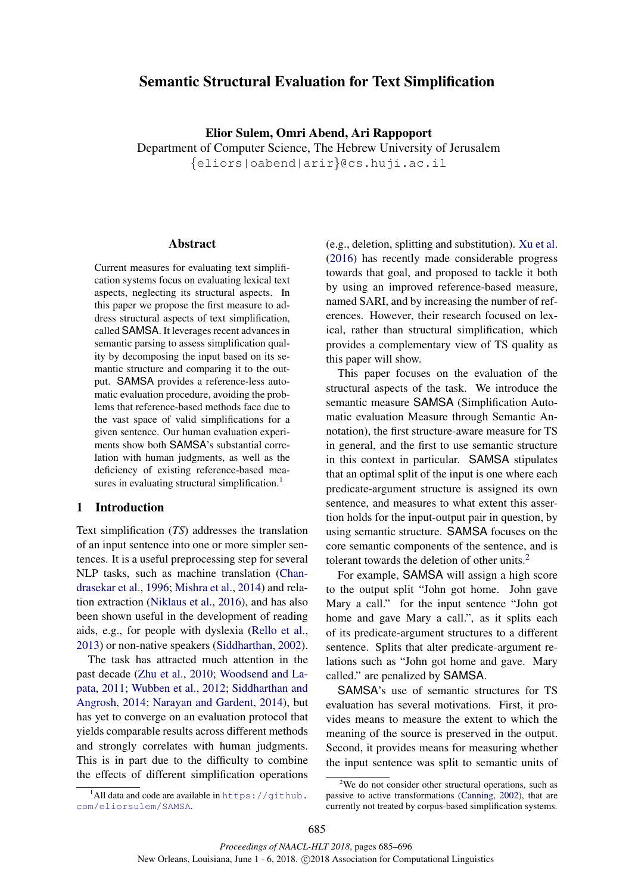# Semantic Structural Evaluation for Text Simplification

Elior Sulem, Omri Abend, Ari Rappoport

Department of Computer Science, The Hebrew University of Jerusalem {eliors|oabend|arir}@cs.huji.ac.il

## Abstract

Current measures for evaluating text simplification systems focus on evaluating lexical text aspects, neglecting its structural aspects. In this paper we propose the first measure to address structural aspects of text simplification, called SAMSA. It leverages recent advances in semantic parsing to assess simplification quality by decomposing the input based on its semantic structure and comparing it to the output. SAMSA provides a reference-less automatic evaluation procedure, avoiding the problems that reference-based methods face due to the vast space of valid simplifications for a given sentence. Our human evaluation experiments show both SAMSA's substantial correlation with human judgments, as well as the deficiency of existing reference-based measures in evaluating structural simplification.<sup>1</sup>

## 1 Introduction

Text simplification (*TS*) addresses the translation of an input sentence into one or more simpler sentences. It is a useful preprocessing step for several NLP tasks, such as machine translation (Chandrasekar et al., 1996; Mishra et al., 2014) and relation extraction (Niklaus et al., 2016), and has also been shown useful in the development of reading aids, e.g., for people with dyslexia (Rello et al., 2013) or non-native speakers (Siddharthan, 2002).

The task has attracted much attention in the past decade (Zhu et al., 2010; Woodsend and Lapata, 2011; Wubben et al., 2012; Siddharthan and Angrosh, 2014; Narayan and Gardent, 2014), but has yet to converge on an evaluation protocol that yields comparable results across different methods and strongly correlates with human judgments. This is in part due to the difficulty to combine the effects of different simplification operations

<sup>1</sup>All data and code are available in  $https://github.$ com/eliorsulem/SAMSA.

(e.g., deletion, splitting and substitution). Xu et al. (2016) has recently made considerable progress towards that goal, and proposed to tackle it both by using an improved reference-based measure, named SARI, and by increasing the number of references. However, their research focused on lexical, rather than structural simplification, which provides a complementary view of TS quality as this paper will show.

This paper focuses on the evaluation of the structural aspects of the task. We introduce the semantic measure SAMSA (Simplification Automatic evaluation Measure through Semantic Annotation), the first structure-aware measure for TS in general, and the first to use semantic structure in this context in particular. SAMSA stipulates that an optimal split of the input is one where each predicate-argument structure is assigned its own sentence, and measures to what extent this assertion holds for the input-output pair in question, by using semantic structure. SAMSA focuses on the core semantic components of the sentence, and is tolerant towards the deletion of other units.<sup>2</sup>

For example, SAMSA will assign a high score to the output split "John got home. John gave Mary a call." for the input sentence "John got home and gave Mary a call.", as it splits each of its predicate-argument structures to a different sentence. Splits that alter predicate-argument relations such as "John got home and gave. Mary called." are penalized by SAMSA.

SAMSA's use of semantic structures for TS evaluation has several motivations. First, it provides means to measure the extent to which the meaning of the source is preserved in the output. Second, it provides means for measuring whether the input sentence was split to semantic units of

 $2$ We do not consider other structural operations, such as passive to active transformations (Canning, 2002), that are currently not treated by corpus-based simplification systems.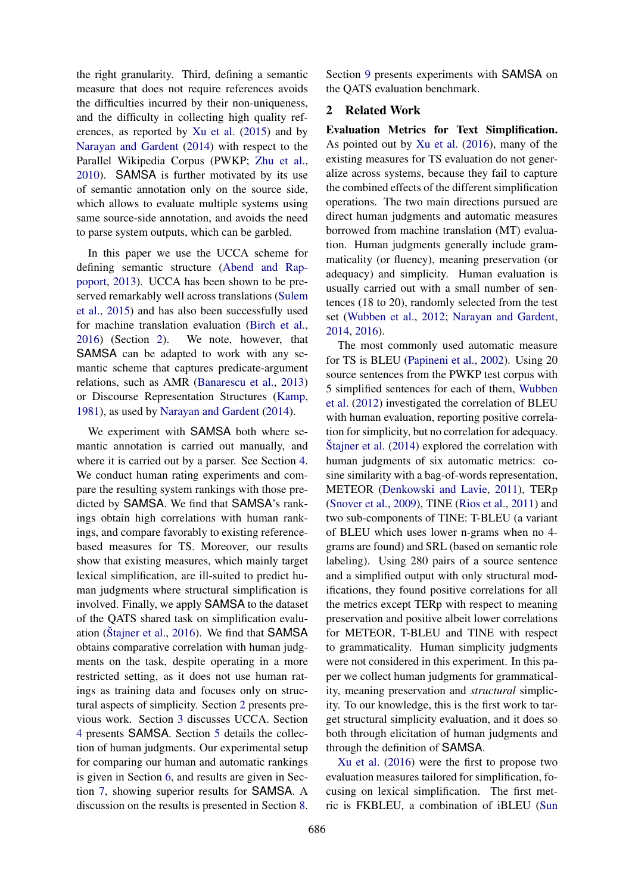the right granularity. Third, defining a semantic measure that does not require references avoids the difficulties incurred by their non-uniqueness, and the difficulty in collecting high quality references, as reported by Xu et al. (2015) and by Narayan and Gardent (2014) with respect to the Parallel Wikipedia Corpus (PWKP; Zhu et al., 2010). SAMSA is further motivated by its use of semantic annotation only on the source side, which allows to evaluate multiple systems using same source-side annotation, and avoids the need to parse system outputs, which can be garbled.

In this paper we use the UCCA scheme for defining semantic structure (Abend and Rappoport, 2013). UCCA has been shown to be preserved remarkably well across translations (Sulem et al., 2015) and has also been successfully used for machine translation evaluation (Birch et al., 2016) (Section 2). We note, however, that SAMSA can be adapted to work with any semantic scheme that captures predicate-argument relations, such as AMR (Banarescu et al., 2013) or Discourse Representation Structures (Kamp, 1981), as used by Narayan and Gardent (2014).

We experiment with SAMSA both where semantic annotation is carried out manually, and where it is carried out by a parser. See Section 4. We conduct human rating experiments and compare the resulting system rankings with those predicted by SAMSA. We find that SAMSA's rankings obtain high correlations with human rankings, and compare favorably to existing referencebased measures for TS. Moreover, our results show that existing measures, which mainly target lexical simplification, are ill-suited to predict human judgments where structural simplification is involved. Finally, we apply SAMSA to the dataset of the QATS shared task on simplification evaluation (Stajner et al.,  $2016$ ). We find that SAMSA obtains comparative correlation with human judgments on the task, despite operating in a more restricted setting, as it does not use human ratings as training data and focuses only on structural aspects of simplicity. Section 2 presents previous work. Section 3 discusses UCCA. Section 4 presents SAMSA. Section 5 details the collection of human judgments. Our experimental setup for comparing our human and automatic rankings is given in Section 6, and results are given in Section 7, showing superior results for SAMSA. A discussion on the results is presented in Section 8.

Section 9 presents experiments with SAMSA on the QATS evaluation benchmark.

## 2 Related Work

Evaluation Metrics for Text Simplification. As pointed out by Xu et al. (2016), many of the existing measures for TS evaluation do not generalize across systems, because they fail to capture the combined effects of the different simplification operations. The two main directions pursued are direct human judgments and automatic measures borrowed from machine translation (MT) evaluation. Human judgments generally include grammaticality (or fluency), meaning preservation (or adequacy) and simplicity. Human evaluation is usually carried out with a small number of sentences (18 to 20), randomly selected from the test set (Wubben et al., 2012; Narayan and Gardent, 2014, 2016).

The most commonly used automatic measure for TS is BLEU (Papineni et al., 2002). Using 20 source sentences from the PWKP test corpus with 5 simplified sentences for each of them, Wubben et al. (2012) investigated the correlation of BLEU with human evaluation, reporting positive correlation for simplicity, but no correlation for adequacy.  $\text{Stajner et al.}$  (2014) explored the correlation with human judgments of six automatic metrics: cosine similarity with a bag-of-words representation, METEOR (Denkowski and Lavie, 2011), TERp (Snover et al., 2009), TINE (Rios et al., 2011) and two sub-components of TINE: T-BLEU (a variant of BLEU which uses lower n-grams when no 4 grams are found) and SRL (based on semantic role labeling). Using 280 pairs of a source sentence and a simplified output with only structural modifications, they found positive correlations for all the metrics except TERp with respect to meaning preservation and positive albeit lower correlations for METEOR, T-BLEU and TINE with respect to grammaticality. Human simplicity judgments were not considered in this experiment. In this paper we collect human judgments for grammaticality, meaning preservation and *structural* simplicity. To our knowledge, this is the first work to target structural simplicity evaluation, and it does so both through elicitation of human judgments and through the definition of SAMSA.

Xu et al. (2016) were the first to propose two evaluation measures tailored for simplification, focusing on lexical simplification. The first metric is FKBLEU, a combination of iBLEU (Sun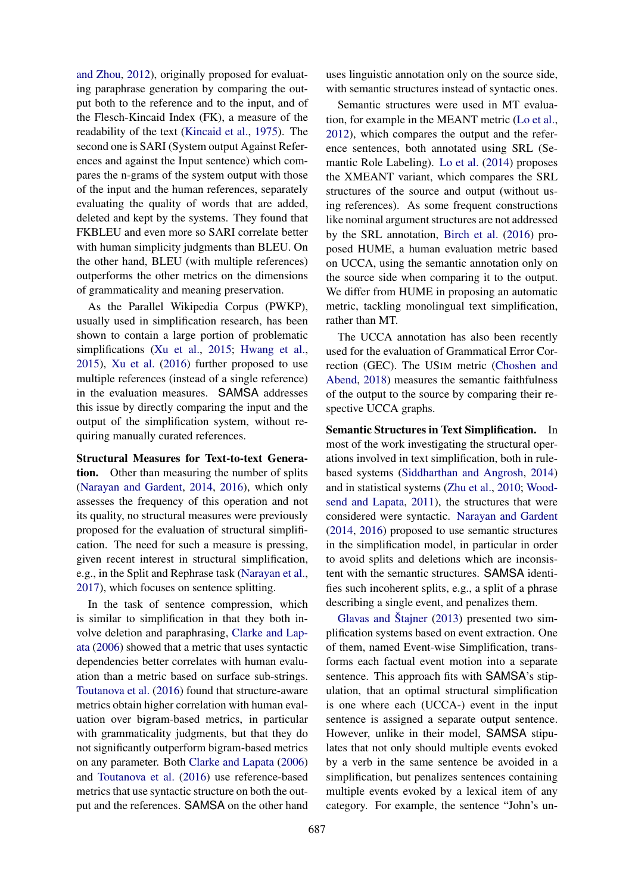and Zhou, 2012), originally proposed for evaluating paraphrase generation by comparing the output both to the reference and to the input, and of the Flesch-Kincaid Index (FK), a measure of the readability of the text (Kincaid et al., 1975). The second one is SARI (System output Against References and against the Input sentence) which compares the n-grams of the system output with those of the input and the human references, separately evaluating the quality of words that are added, deleted and kept by the systems. They found that FKBLEU and even more so SARI correlate better with human simplicity judgments than BLEU. On the other hand, BLEU (with multiple references) outperforms the other metrics on the dimensions of grammaticality and meaning preservation.

As the Parallel Wikipedia Corpus (PWKP), usually used in simplification research, has been shown to contain a large portion of problematic simplifications (Xu et al., 2015; Hwang et al., 2015), Xu et al. (2016) further proposed to use multiple references (instead of a single reference) in the evaluation measures. SAMSA addresses this issue by directly comparing the input and the output of the simplification system, without requiring manually curated references.

Structural Measures for Text-to-text Generation. Other than measuring the number of splits (Narayan and Gardent, 2014, 2016), which only assesses the frequency of this operation and not its quality, no structural measures were previously proposed for the evaluation of structural simplification. The need for such a measure is pressing, given recent interest in structural simplification, e.g., in the Split and Rephrase task (Narayan et al., 2017), which focuses on sentence splitting.

In the task of sentence compression, which is similar to simplification in that they both involve deletion and paraphrasing, Clarke and Lapata (2006) showed that a metric that uses syntactic dependencies better correlates with human evaluation than a metric based on surface sub-strings. Toutanova et al. (2016) found that structure-aware metrics obtain higher correlation with human evaluation over bigram-based metrics, in particular with grammaticality judgments, but that they do not significantly outperform bigram-based metrics on any parameter. Both Clarke and Lapata (2006) and Toutanova et al. (2016) use reference-based metrics that use syntactic structure on both the output and the references. SAMSA on the other hand

uses linguistic annotation only on the source side, with semantic structures instead of syntactic ones.

Semantic structures were used in MT evaluation, for example in the MEANT metric (Lo et al., 2012), which compares the output and the reference sentences, both annotated using SRL (Semantic Role Labeling). Lo et al. (2014) proposes the XMEANT variant, which compares the SRL structures of the source and output (without using references). As some frequent constructions like nominal argument structures are not addressed by the SRL annotation, Birch et al. (2016) proposed HUME, a human evaluation metric based on UCCA, using the semantic annotation only on the source side when comparing it to the output. We differ from HUME in proposing an automatic metric, tackling monolingual text simplification, rather than MT.

The UCCA annotation has also been recently used for the evaluation of Grammatical Error Correction (GEC). The USIM metric (Choshen and Abend, 2018) measures the semantic faithfulness of the output to the source by comparing their respective UCCA graphs.

Semantic Structures in Text Simplification. In most of the work investigating the structural operations involved in text simplification, both in rulebased systems (Siddharthan and Angrosh, 2014) and in statistical systems (Zhu et al., 2010; Woodsend and Lapata, 2011), the structures that were considered were syntactic. Narayan and Gardent (2014, 2016) proposed to use semantic structures in the simplification model, in particular in order to avoid splits and deletions which are inconsistent with the semantic structures. SAMSA identifies such incoherent splits, e.g., a split of a phrase describing a single event, and penalizes them.

Glavas and Štajner  $(2013)$  presented two simplification systems based on event extraction. One of them, named Event-wise Simplification, transforms each factual event motion into a separate sentence. This approach fits with SAMSA's stipulation, that an optimal structural simplification is one where each (UCCA-) event in the input sentence is assigned a separate output sentence. However, unlike in their model, SAMSA stipulates that not only should multiple events evoked by a verb in the same sentence be avoided in a simplification, but penalizes sentences containing multiple events evoked by a lexical item of any category. For example, the sentence "John's un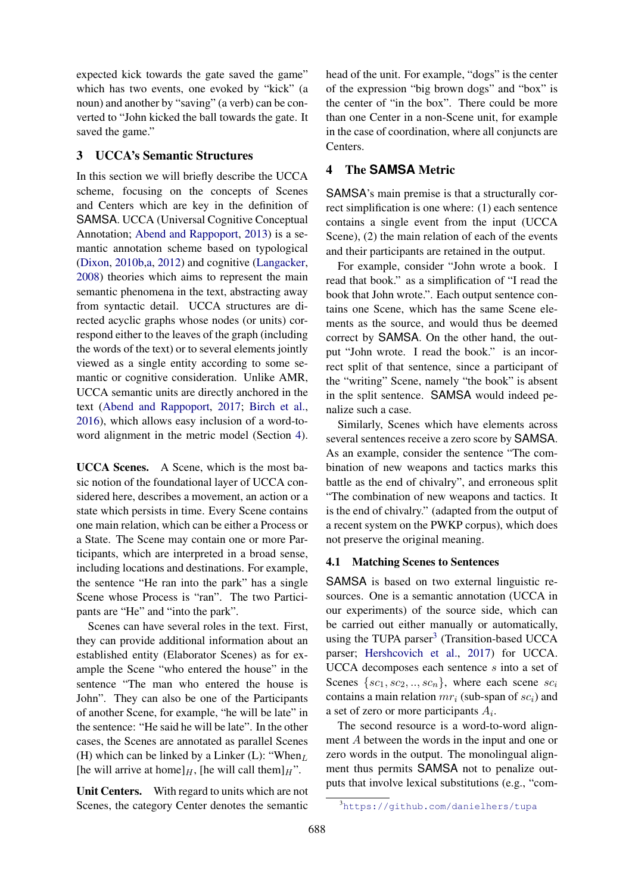expected kick towards the gate saved the game" which has two events, one evoked by "kick" (a noun) and another by "saving" (a verb) can be converted to "John kicked the ball towards the gate. It saved the game."

## 3 UCCA's Semantic Structures

In this section we will briefly describe the UCCA scheme, focusing on the concepts of Scenes and Centers which are key in the definition of SAMSA. UCCA (Universal Cognitive Conceptual Annotation; Abend and Rappoport, 2013) is a semantic annotation scheme based on typological (Dixon, 2010b,a, 2012) and cognitive (Langacker, 2008) theories which aims to represent the main semantic phenomena in the text, abstracting away from syntactic detail. UCCA structures are directed acyclic graphs whose nodes (or units) correspond either to the leaves of the graph (including the words of the text) or to several elements jointly viewed as a single entity according to some semantic or cognitive consideration. Unlike AMR, UCCA semantic units are directly anchored in the text (Abend and Rappoport, 2017; Birch et al., 2016), which allows easy inclusion of a word-toword alignment in the metric model (Section 4).

UCCA Scenes. A Scene, which is the most basic notion of the foundational layer of UCCA considered here, describes a movement, an action or a state which persists in time. Every Scene contains one main relation, which can be either a Process or a State. The Scene may contain one or more Participants, which are interpreted in a broad sense, including locations and destinations. For example, the sentence "He ran into the park" has a single Scene whose Process is "ran". The two Participants are "He" and "into the park".

Scenes can have several roles in the text. First, they can provide additional information about an established entity (Elaborator Scenes) as for example the Scene "who entered the house" in the sentence "The man who entered the house is John". They can also be one of the Participants of another Scene, for example, "he will be late" in the sentence: "He said he will be late". In the other cases, the Scenes are annotated as parallel Scenes (H) which can be linked by a Linker (L): "When $_L$ [he will arrive at home] $_H$ , [he will call them] $_H$ ".

Unit Centers. With regard to units which are not Scenes, the category Center denotes the semantic head of the unit. For example, "dogs" is the center of the expression "big brown dogs" and "box" is the center of "in the box". There could be more than one Center in a non-Scene unit, for example in the case of coordination, where all conjuncts are Centers.

## 4 The **SAMSA** Metric

SAMSA's main premise is that a structurally correct simplification is one where: (1) each sentence contains a single event from the input (UCCA Scene), (2) the main relation of each of the events and their participants are retained in the output.

For example, consider "John wrote a book. I read that book." as a simplification of "I read the book that John wrote.". Each output sentence contains one Scene, which has the same Scene elements as the source, and would thus be deemed correct by SAMSA. On the other hand, the output "John wrote. I read the book." is an incorrect split of that sentence, since a participant of the "writing" Scene, namely "the book" is absent in the split sentence. SAMSA would indeed penalize such a case.

Similarly, Scenes which have elements across several sentences receive a zero score by SAMSA. As an example, consider the sentence "The combination of new weapons and tactics marks this battle as the end of chivalry", and erroneous split "The combination of new weapons and tactics. It is the end of chivalry." (adapted from the output of a recent system on the PWKP corpus), which does not preserve the original meaning.

## 4.1 Matching Scenes to Sentences

SAMSA is based on two external linguistic resources. One is a semantic annotation (UCCA in our experiments) of the source side, which can be carried out either manually or automatically, using the TUPA parser<sup>3</sup> (Transition-based UCCA parser; Hershcovich et al., 2017) for UCCA. UCCA decomposes each sentence s into a set of Scenes  $\{sc_1, sc_2, ..., sc_n\}$ , where each scene  $sc_i$ contains a main relation  $mr_i$  (sub-span of  $sc_i$ ) and a set of zero or more participants  $A_i$ .

The second resource is a word-to-word alignment A between the words in the input and one or zero words in the output. The monolingual alignment thus permits SAMSA not to penalize outputs that involve lexical substitutions (e.g., "com-

<sup>3</sup>https://github.com/danielhers/tupa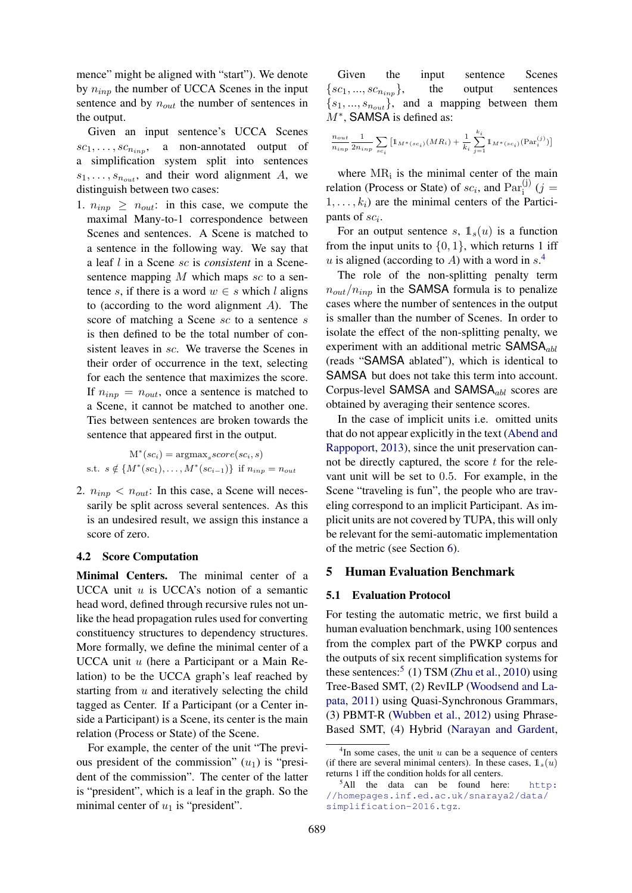mence" might be aligned with "start"). We denote by  $n_{inp}$  the number of UCCA Scenes in the input sentence and by  $n_{out}$  the number of sentences in the output.

Given an input sentence's UCCA Scenes  $sc_1, \ldots, sc_{n_{inp}},$  a non-annotated output of a simplification system split into sentences  $s_1, \ldots, s_{n_{out}}$ , and their word alignment A, we distinguish between two cases:

1.  $n_{inp} \geq n_{out}$ : in this case, we compute the maximal Many-to-1 correspondence between Scenes and sentences. A Scene is matched to a sentence in the following way. We say that a leaf l in a Scene sc is *consistent* in a Scenesentence mapping  $M$  which maps  $sc$  to a sentence s, if there is a word  $w \in s$  which l aligns to (according to the word alignment A). The score of matching a Scene sc to a sentence s is then defined to be the total number of consistent leaves in sc. We traverse the Scenes in their order of occurrence in the text, selecting for each the sentence that maximizes the score. If  $n_{inp} = n_{out}$ , once a sentence is matched to a Scene, it cannot be matched to another one. Ties between sentences are broken towards the sentence that appeared first in the output.

$$
\mathbf{M}^*(sc_i) = \operatorname{argmax}_s score(sc_i, s)
$$
  
s.t.  $s \notin \{M^*(sc_1), \dots, M^*(sc_{i-1})\}$  if  $n_{inp} = n_{out}$ 

2.  $n_{inp} < n_{out}$ : In this case, a Scene will necessarily be split across several sentences. As this is an undesired result, we assign this instance a score of zero.

## 4.2 Score Computation

Minimal Centers. The minimal center of a UCCA unit  $u$  is UCCA's notion of a semantic head word, defined through recursive rules not unlike the head propagation rules used for converting constituency structures to dependency structures. More formally, we define the minimal center of a UCCA unit u (here a Participant or a Main Relation) to be the UCCA graph's leaf reached by starting from  $u$  and iteratively selecting the child tagged as Center. If a Participant (or a Center inside a Participant) is a Scene, its center is the main relation (Process or State) of the Scene.

For example, the center of the unit "The previous president of the commission"  $(u_1)$  is "president of the commission". The center of the latter is "president", which is a leaf in the graph. So the minimal center of  $u_1$  is "president".

Given the input sentence Scenes  $\{sc_1, ..., sc_{n_{inn}}\},$  the output sentences  $\{s_1, ..., s_{n_{out}}\}$ , and a mapping between them M<sup>∗</sup>, SAMSA is defined as:

$$
\frac{n_{out}}{n_{inp}}\frac{1}{2n_{inp}}\sum_{sc_i}\big[\mathbb{1}_{M^*(sc_i)}(MR_i)+\frac{1}{k_i}\sum_{j=1}^{k_i}\mathbb{1}_{M^*(sc_i)}(\text{Par}_i^{(j)})\big]
$$

where  $MR_i$  is the minimal center of the main relation (Process or State) of  $sc_i$ , and  $Par_i^{(j)}$  (j =  $1, \ldots, k_i$ ) are the minimal centers of the Participants of  $\mathfrak{sc}_i$ .

For an output sentence s,  $\mathbb{1}_s(u)$  is a function from the input units to  $\{0, 1\}$ , which returns 1 iff u is aligned (according to A) with a word in  $s^4$ .

The role of the non-splitting penalty term  $n_{out}/n_{inp}$  in the SAMSA formula is to penalize cases where the number of sentences in the output is smaller than the number of Scenes. In order to isolate the effect of the non-splitting penalty, we experiment with an additional metric  $SAMSA_{abl}$ (reads "SAMSA ablated"), which is identical to SAMSA but does not take this term into account. Corpus-level SAMSA and SAMSA<sub>abl</sub> scores are obtained by averaging their sentence scores.

In the case of implicit units i.e. omitted units that do not appear explicitly in the text (Abend and Rappoport, 2013), since the unit preservation cannot be directly captured, the score  $t$  for the relevant unit will be set to 0.5. For example, in the Scene "traveling is fun", the people who are traveling correspond to an implicit Participant. As implicit units are not covered by TUPA, this will only be relevant for the semi-automatic implementation of the metric (see Section 6).

### 5 Human Evaluation Benchmark

#### 5.1 Evaluation Protocol

For testing the automatic metric, we first build a human evaluation benchmark, using 100 sentences from the complex part of the PWKP corpus and the outputs of six recent simplification systems for these sentences:<sup>5</sup> (1) TSM (Zhu et al., 2010) using Tree-Based SMT, (2) RevILP (Woodsend and Lapata, 2011) using Quasi-Synchronous Grammars, (3) PBMT-R (Wubben et al., 2012) using Phrase-Based SMT, (4) Hybrid (Narayan and Gardent,

 $4$ In some cases, the unit  $u$  can be a sequence of centers (if there are several minimal centers). In these cases,  $\mathbb{1}_s(u)$ returns 1 iff the condition holds for all centers.

 $5$ All the data can be found here: http: //homepages.inf.ed.ac.uk/snaraya2/data/ simplification-2016.tgz.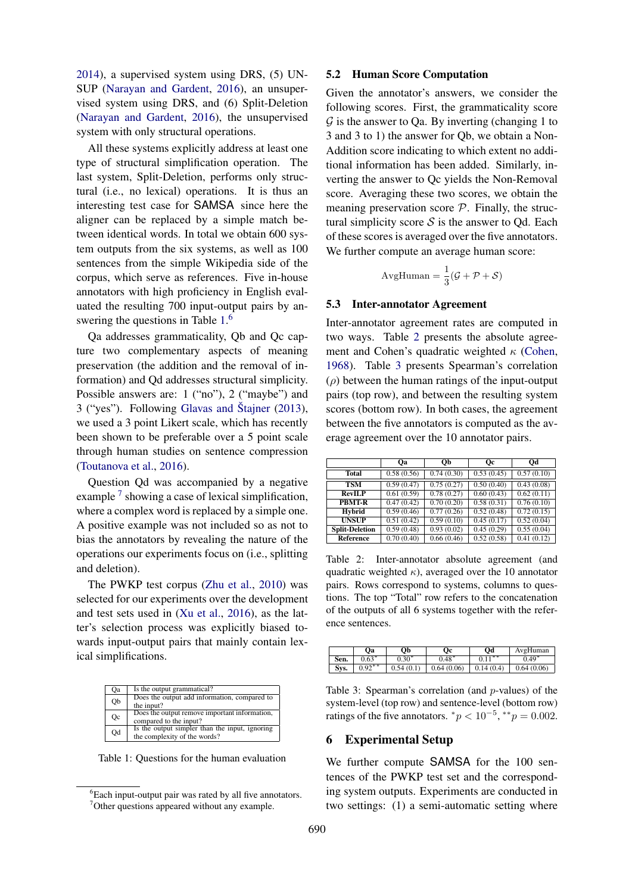2014), a supervised system using DRS, (5) UN-SUP (Narayan and Gardent, 2016), an unsupervised system using DRS, and (6) Split-Deletion (Narayan and Gardent, 2016), the unsupervised system with only structural operations.

All these systems explicitly address at least one type of structural simplification operation. The last system, Split-Deletion, performs only structural (i.e., no lexical) operations. It is thus an interesting test case for SAMSA since here the aligner can be replaced by a simple match between identical words. In total we obtain 600 system outputs from the six systems, as well as 100 sentences from the simple Wikipedia side of the corpus, which serve as references. Five in-house annotators with high proficiency in English evaluated the resulting 700 input-output pairs by answering the questions in Table 1.<sup>6</sup>

Qa addresses grammaticality, Qb and Qc capture two complementary aspects of meaning preservation (the addition and the removal of information) and Qd addresses structural simplicity. Possible answers are: 1 ("no"), 2 ("maybe") and  $3$  ("yes"). Following Glavas and Stajner  $(2013)$ , we used a 3 point Likert scale, which has recently been shown to be preferable over a 5 point scale through human studies on sentence compression (Toutanova et al., 2016).

Question Qd was accompanied by a negative example<sup>7</sup> showing a case of lexical simplification, where a complex word is replaced by a simple one. A positive example was not included so as not to bias the annotators by revealing the nature of the operations our experiments focus on (i.e., splitting and deletion).

The PWKP test corpus (Zhu et al., 2010) was selected for our experiments over the development and test sets used in (Xu et al., 2016), as the latter's selection process was explicitly biased towards input-output pairs that mainly contain lexical simplifications.

| <b>Oa</b> | Is the output grammatical?                                                     |
|-----------|--------------------------------------------------------------------------------|
| Qb        | Does the output add information, compared to<br>the input?                     |
| Oc        | Does the output remove important information,<br>compared to the input?        |
| Od        | Is the output simpler than the input, ignoring<br>the complexity of the words? |

Table 1: Questions for the human evaluation

#### 5.2 Human Score Computation

Given the annotator's answers, we consider the following scores. First, the grammaticality score  $\mathcal G$  is the answer to Qa. By inverting (changing 1 to 3 and 3 to 1) the answer for Qb, we obtain a Non-Addition score indicating to which extent no additional information has been added. Similarly, inverting the answer to Qc yields the Non-Removal score. Averaging these two scores, we obtain the meaning preservation score  $P$ . Finally, the structural simplicity score  $S$  is the answer to Qd. Each of these scores is averaged over the five annotators. We further compute an average human score:

$$
AvgHuman = \frac{1}{3}(\mathcal{G} + \mathcal{P} + \mathcal{S})
$$

#### 5.3 Inter-annotator Agreement

Inter-annotator agreement rates are computed in two ways. Table 2 presents the absolute agreement and Cohen's quadratic weighted  $\kappa$  (Cohen, 1968). Table 3 presents Spearman's correlation  $(\rho)$  between the human ratings of the input-output pairs (top row), and between the resulting system scores (bottom row). In both cases, the agreement between the five annotators is computed as the average agreement over the 10 annotator pairs.

|                       | <b>Oa</b>               | Ob         | Oс         | Od                       |  |
|-----------------------|-------------------------|------------|------------|--------------------------|--|
| <b>Total</b>          | 0.58(0.56)              | 0.74(0.30) | 0.53(0.45) | 0.57(0.10)               |  |
| TSM                   | 0.59(0.47)              | 0.75(0.27) | 0.50(0.40) | 0.43(0.08)               |  |
| <b>RevILP</b>         | 0.61(0.59)              | 0.78(0.27) | 0.60(0.43) | 0.62(0.11)               |  |
| <b>PBMT-R</b>         | 0.47(0.42)              | 0.70(0.20) | 0.58(0.31) | 0.76(0.10)               |  |
| <b>Hybrid</b>         | 0.59(0.46)              | 0.77(0.26) | 0.52(0.48) | 0.72(0.15)               |  |
| <b>UNSUP</b>          | $\overline{0.51(0.42)}$ | 0.59(0.10) | 0.45(0.17) | 0.52(0.04)               |  |
| <b>Split-Deletion</b> | 0.59(0.48)              | 0.93(0.02) | 0.45(0.29) | 0.55(0.04)               |  |
| Reference             | 0.70(0.40)              | 0.66(0.46) | 0.52(0.58) | $\overline{0.41}$ (0.12) |  |

Table 2: Inter-annotator absolute agreement (and quadratic weighted  $\kappa$ ), averaged over the 10 annotator pairs. Rows correspond to systems, columns to questions. The top "Total" row refers to the concatenation of the outputs of all 6 systems together with the reference sentences.

|      | Oа        | Od<br>Оb<br>Оc |            |           | AvgHuman   |  |
|------|-----------|----------------|------------|-----------|------------|--|
| Sen. | $0.63*$   | $0.30*$        | $0.48*$    | $0.11***$ | $0.49*$    |  |
| Sys. | $0.92***$ | 0.54(0.1)      | 0.64(0.06) | 0.14(0.4) | 0.64(0.06) |  |

Table 3: Spearman's correlation (and p-values) of the system-level (top row) and sentence-level (bottom row) ratings of the five annotators.  $^*p < 10^{-5}$ ,  $^{**}p = 0.002$ .

## 6 Experimental Setup

We further compute SAMSA for the 100 sentences of the PWKP test set and the corresponding system outputs. Experiments are conducted in two settings: (1) a semi-automatic setting where

 ${}^{6}$ Each input-output pair was rated by all five annotators. <sup>7</sup>Other questions appeared without any example.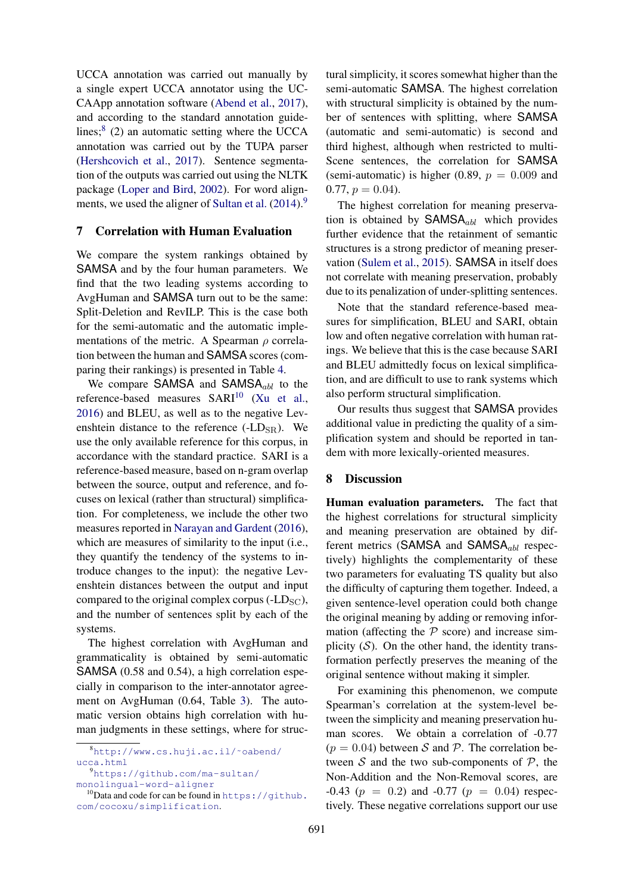UCCA annotation was carried out manually by a single expert UCCA annotator using the UC-CAApp annotation software (Abend et al., 2017), and according to the standard annotation guidelines;<sup>8</sup> (2) an automatic setting where the UCCA annotation was carried out by the TUPA parser (Hershcovich et al., 2017). Sentence segmentation of the outputs was carried out using the NLTK package (Loper and Bird, 2002). For word alignments, we used the aligner of Sultan et al.  $(2014)$ .<sup>9</sup>

### 7 Correlation with Human Evaluation

We compare the system rankings obtained by SAMSA and by the four human parameters. We find that the two leading systems according to AvgHuman and SAMSA turn out to be the same: Split-Deletion and RevILP. This is the case both for the semi-automatic and the automatic implementations of the metric. A Spearman  $\rho$  correlation between the human and SAMSA scores (comparing their rankings) is presented in Table 4.

We compare SAMSA and SAMSA $_{abl}$  to the reference-based measures SARI<sup>10</sup> (Xu et al., 2016) and BLEU, as well as to the negative Levenshtein distance to the reference  $(-LD_{SR})$ . We use the only available reference for this corpus, in accordance with the standard practice. SARI is a reference-based measure, based on n-gram overlap between the source, output and reference, and focuses on lexical (rather than structural) simplification. For completeness, we include the other two measures reported in Narayan and Gardent (2016), which are measures of similarity to the input (i.e., they quantify the tendency of the systems to introduce changes to the input): the negative Levenshtein distances between the output and input compared to the original complex corpus  $(-LD<sub>SC</sub>)$ , and the number of sentences split by each of the systems.

The highest correlation with AvgHuman and grammaticality is obtained by semi-automatic SAMSA (0.58 and 0.54), a high correlation especially in comparison to the inter-annotator agreement on AvgHuman (0.64, Table 3). The automatic version obtains high correlation with human judgments in these settings, where for structural simplicity, it scores somewhat higher than the semi-automatic SAMSA. The highest correlation with structural simplicity is obtained by the number of sentences with splitting, where SAMSA (automatic and semi-automatic) is second and third highest, although when restricted to multi-Scene sentences, the correlation for SAMSA (semi-automatic) is higher (0.89,  $p = 0.009$  and  $0.77, p = 0.04$ .

The highest correlation for meaning preservation is obtained by  $SAMSA<sub>abl</sub>$  which provides further evidence that the retainment of semantic structures is a strong predictor of meaning preservation (Sulem et al., 2015). SAMSA in itself does not correlate with meaning preservation, probably due to its penalization of under-splitting sentences.

Note that the standard reference-based measures for simplification, BLEU and SARI, obtain low and often negative correlation with human ratings. We believe that this is the case because SARI and BLEU admittedly focus on lexical simplification, and are difficult to use to rank systems which also perform structural simplification.

Our results thus suggest that SAMSA provides additional value in predicting the quality of a simplification system and should be reported in tandem with more lexically-oriented measures.

### 8 Discussion

Human evaluation parameters. The fact that the highest correlations for structural simplicity and meaning preservation are obtained by different metrics (SAMSA and SAMSA $_{abl}$  respectively) highlights the complementarity of these two parameters for evaluating TS quality but also the difficulty of capturing them together. Indeed, a given sentence-level operation could both change the original meaning by adding or removing information (affecting the  $P$  score) and increase simplicity  $(S)$ . On the other hand, the identity transformation perfectly preserves the meaning of the original sentence without making it simpler.

For examining this phenomenon, we compute Spearman's correlation at the system-level between the simplicity and meaning preservation human scores. We obtain a correlation of -0.77  $(p = 0.04)$  between S and P. The correlation between  $S$  and the two sub-components of  $P$ , the Non-Addition and the Non-Removal scores, are  $-0.43$  ( $p = 0.2$ ) and  $-0.77$  ( $p = 0.04$ ) respectively. These negative correlations support our use

<sup>8</sup>http://www.cs.huji.ac.il/˜oabend/ ucca.html

<sup>9</sup>https://github.com/ma-sultan/ monolingual-word-aligner

 $10$ Data and code for can be found in https://github. com/cocoxu/simplification.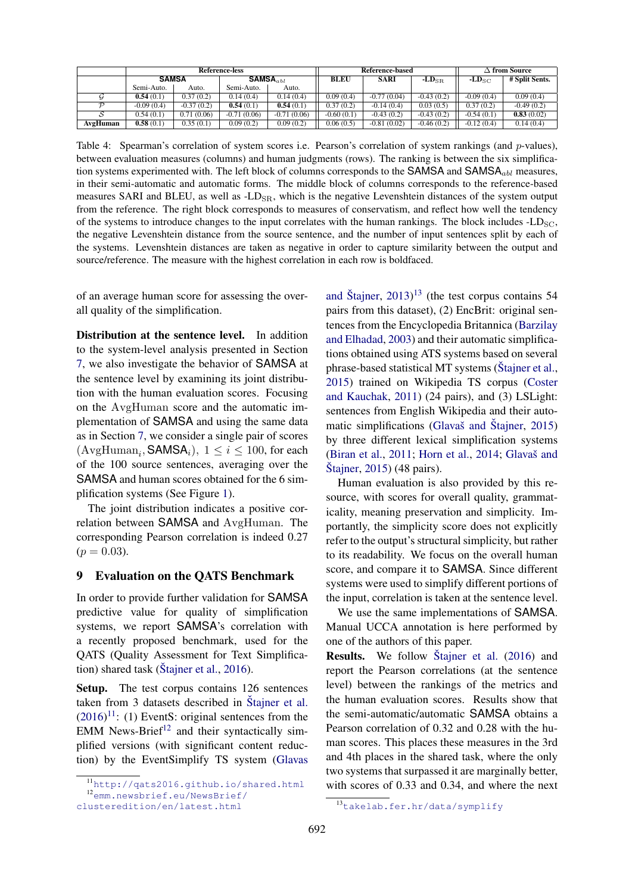|          | Reference-less |              |                        |               | Reference-based |               |                | $\Delta$ from Source                 |                |
|----------|----------------|--------------|------------------------|---------------|-----------------|---------------|----------------|--------------------------------------|----------------|
|          | <b>SAMSA</b>   |              | $SAMSA$ <sub>abl</sub> |               | <b>BLEU</b>     | <b>SARI</b>   | $-LD_{\rm SR}$ | - $\mathbf{L}\mathbf{D}_\mathrm{SC}$ | # Split Sents. |
|          | Semi-Auto.     | Auto.        | Semi-Auto.             | Auto.         |                 |               |                |                                      |                |
|          | 0.54(0.1)      | 0.37(0.2)    | 0.14(0.4)              | 0.14(0.4)     | 0.09(0.4)       | $-0.77(0.04)$ | $-0.43(0.2)$   | $-0.09(0.4)$                         | 0.09(0.4)      |
|          | $-0.09(0.4)$   | $-0.37(0.2)$ | 0.54(0.1)              | 0.54(0.1)     | 0.37(0.2)       | $-0.14(0.4)$  | 0.03(0.5)      | 0.37(0.2)                            | $-0.49(0.2)$   |
|          | 0.54(0.1)      | 0.71(0.06)   | $-0.71(0.06)$          | $-0.71(0.06)$ | $-0.60(0.1)$    | $-0.43(0.2)$  | $-0.43(0.2)$   | $-0.54(0.1)$                         | 0.83(0.02)     |
| AvgHuman | 0.58(0.1)      | 0.35(0.1)    | 0.09(0.2)              | 0.09(0.2)     | 0.06(0.5)       | $-0.81(0.02)$ | $-0.46(0.2)$   | $-0.12(0.4)$                         | 0.14(0.4)      |

Table 4: Spearman's correlation of system scores i.e. Pearson's correlation of system rankings (and p-values), between evaluation measures (columns) and human judgments (rows). The ranking is between the six simplification systems experimented with. The left block of columns corresponds to the SAMSA and SAMSA<sub>abl</sub> measures, in their semi-automatic and automatic forms. The middle block of columns corresponds to the reference-based measures SARI and BLEU, as well as  $-LD_{SR}$ , which is the negative Levenshtein distances of the system output from the reference. The right block corresponds to measures of conservatism, and reflect how well the tendency of the systems to introduce changes to the input correlates with the human rankings. The block includes  $\text{-LD}_{\text{SC}}$ , the negative Levenshtein distance from the source sentence, and the number of input sentences split by each of the systems. Levenshtein distances are taken as negative in order to capture similarity between the output and source/reference. The measure with the highest correlation in each row is boldfaced.

of an average human score for assessing the overall quality of the simplification.

Distribution at the sentence level. In addition to the system-level analysis presented in Section 7, we also investigate the behavior of SAMSA at the sentence level by examining its joint distribution with the human evaluation scores. Focusing on the AvgHuman score and the automatic implementation of SAMSA and using the same data as in Section 7, we consider a single pair of scores  $(\text{AvgHuman}_{i}, \text{SAMSA}_{i}), 1 \leq i \leq 100$ , for each of the 100 source sentences, averaging over the SAMSA and human scores obtained for the 6 simplification systems (See Figure 1).

The joint distribution indicates a positive correlation between SAMSA and AvgHuman. The corresponding Pearson correlation is indeed 0.27  $(p = 0.03)$ .

#### 9 Evaluation on the QATS Benchmark

In order to provide further validation for SAMSA predictive value for quality of simplification systems, we report SAMSA's correlation with a recently proposed benchmark, used for the QATS (Quality Assessment for Text Simplification) shared task ( $\text{Stainer et al., } 2016$ ).

Setup. The test corpus contains 126 sentences taken from 3 datasets described in Stajner et al.  $(2016)^{11}$ : (1) EventS: original sentences from the EMM News-Brief $12$  and their syntactically simplified versions (with significant content reduction) by the EventSimplify TS system (Glavas

and Štajner,  $2013$ <sup>13</sup> (the test corpus contains 54 pairs from this dataset), (2) EncBrit: original sentences from the Encyclopedia Britannica (Barzilay and Elhadad, 2003) and their automatic simplifications obtained using ATS systems based on several phrase-based statistical MT systems (Stajner et al., 2015) trained on Wikipedia TS corpus (Coster and Kauchak, 2011) (24 pairs), and (3) LSLight: sentences from English Wikipedia and their automatic simplifications (Glavaš and Štajner,  $2015$ ) by three different lexical simplification systems (Biran et al.,  $2011$ ; Horn et al.,  $2014$ ; Glavaš and  $\text{Stainer}, 2015$ ) (48 pairs).

Human evaluation is also provided by this resource, with scores for overall quality, grammaticality, meaning preservation and simplicity. Importantly, the simplicity score does not explicitly refer to the output's structural simplicity, but rather to its readability. We focus on the overall human score, and compare it to SAMSA. Since different systems were used to simplify different portions of the input, correlation is taken at the sentence level.

We use the same implementations of SAMSA. Manual UCCA annotation is here performed by one of the authors of this paper.

**Results.** We follow Stajner et al. (2016) and report the Pearson correlations (at the sentence level) between the rankings of the metrics and the human evaluation scores. Results show that the semi-automatic/automatic SAMSA obtains a Pearson correlation of 0.32 and 0.28 with the human scores. This places these measures in the 3rd and 4th places in the shared task, where the only two systems that surpassed it are marginally better, with scores of 0.33 and 0.34, and where the next

<sup>11</sup>http://qats2016.github.io/shared.html <sup>12</sup>emm.newsbrief.eu/NewsBrief/

clusteredition/en/latest.html

<sup>13</sup>takelab.fer.hr/data/symplify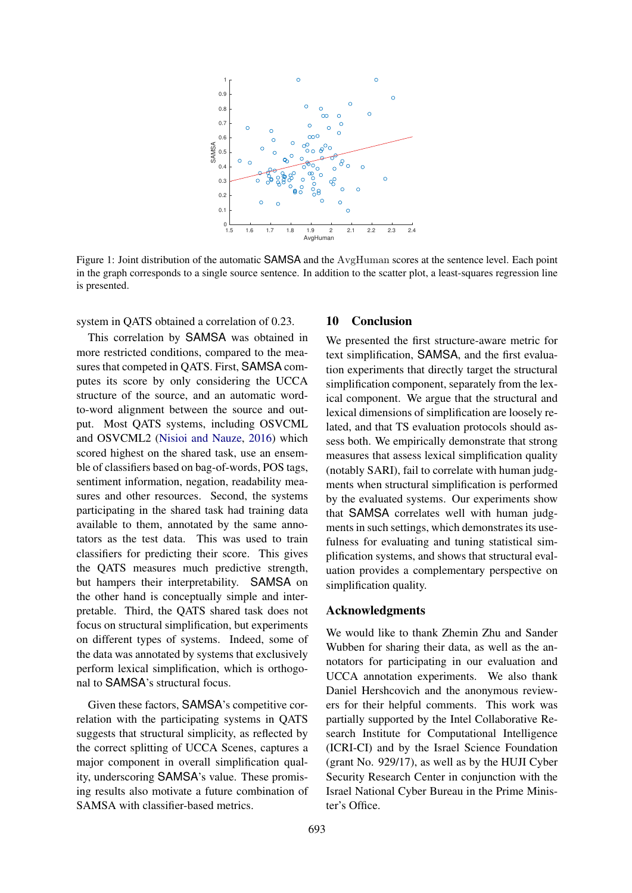

Figure 1: Joint distribution of the automatic SAMSA and the AvgHuman scores at the sentence level. Each point in the graph corresponds to a single source sentence. In addition to the scatter plot, a least-squares regression line is presented.

system in QATS obtained a correlation of 0.23.

This correlation by SAMSA was obtained in more restricted conditions, compared to the measures that competed in QATS. First, SAMSA computes its score by only considering the UCCA structure of the source, and an automatic wordto-word alignment between the source and output. Most QATS systems, including OSVCML and OSVCML2 (Nisioi and Nauze, 2016) which scored highest on the shared task, use an ensemble of classifiers based on bag-of-words, POS tags, sentiment information, negation, readability measures and other resources. Second, the systems participating in the shared task had training data available to them, annotated by the same annotators as the test data. This was used to train classifiers for predicting their score. This gives the QATS measures much predictive strength, but hampers their interpretability. SAMSA on the other hand is conceptually simple and interpretable. Third, the QATS shared task does not focus on structural simplification, but experiments on different types of systems. Indeed, some of the data was annotated by systems that exclusively perform lexical simplification, which is orthogonal to SAMSA's structural focus.

Given these factors, SAMSA's competitive correlation with the participating systems in QATS suggests that structural simplicity, as reflected by the correct splitting of UCCA Scenes, captures a major component in overall simplification quality, underscoring SAMSA's value. These promising results also motivate a future combination of SAMSA with classifier-based metrics.

### 10 Conclusion

We presented the first structure-aware metric for text simplification, SAMSA, and the first evaluation experiments that directly target the structural simplification component, separately from the lexical component. We argue that the structural and lexical dimensions of simplification are loosely related, and that TS evaluation protocols should assess both. We empirically demonstrate that strong measures that assess lexical simplification quality (notably SARI), fail to correlate with human judgments when structural simplification is performed by the evaluated systems. Our experiments show that SAMSA correlates well with human judgments in such settings, which demonstrates its usefulness for evaluating and tuning statistical simplification systems, and shows that structural evaluation provides a complementary perspective on simplification quality.

### Acknowledgments

We would like to thank Zhemin Zhu and Sander Wubben for sharing their data, as well as the annotators for participating in our evaluation and UCCA annotation experiments. We also thank Daniel Hershcovich and the anonymous reviewers for their helpful comments. This work was partially supported by the Intel Collaborative Research Institute for Computational Intelligence (ICRI-CI) and by the Israel Science Foundation (grant No. 929/17), as well as by the HUJI Cyber Security Research Center in conjunction with the Israel National Cyber Bureau in the Prime Minister's Office.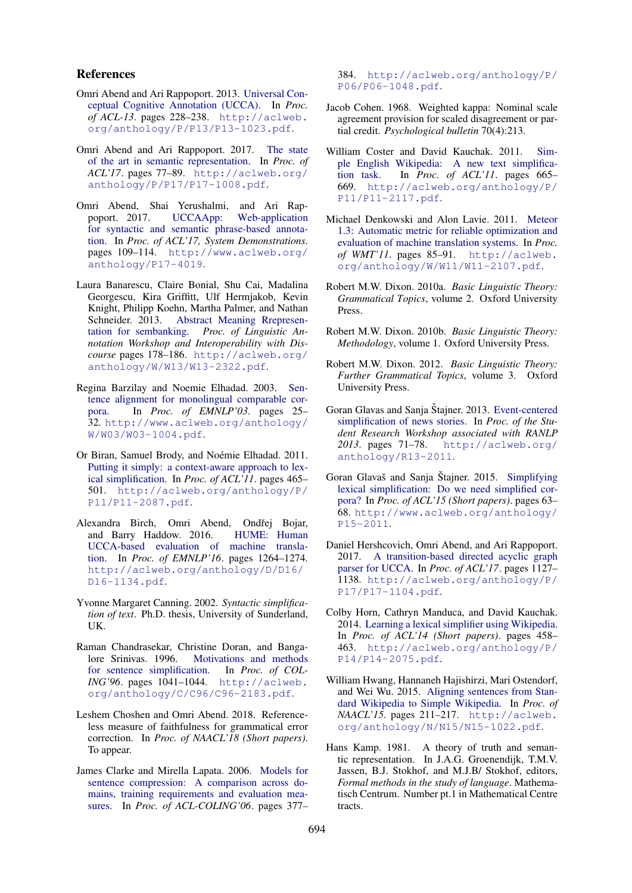### References

- Omri Abend and Ari Rappoport. 2013. Universal Conceptual Cognitive Annotation (UCCA). In *Proc. of ACL-13*. pages 228–238. http://aclweb. org/anthology/P/P13/P13-1023.pdf.
- Omri Abend and Ari Rappoport. 2017. The state of the art in semantic representation. In *Proc. of ACL'17*. pages 77–89. http://aclweb.org/ anthology/P/P17/P17-1008.pdf.
- Omri Abend, Shai Yerushalmi, and Ari Rappoport. 2017. UCCAApp: Web-application for syntactic and semantic phrase-based annotation. In *Proc. of ACL'17, System Demonstrations*. pages 109–114. http://www.aclweb.org/ anthology/P17-4019.
- Laura Banarescu, Claire Bonial, Shu Cai, Madalina Georgescu, Kira Griffitt, Ulf Hermjakob, Kevin Knight, Philipp Koehn, Martha Palmer, and Nathan Schneider. 2013. Abstract Meaning Rrepresentation for sembanking. *Proc. of Linguistic Annotation Workshop and Interoperability with Discourse* pages 178–186. http://aclweb.org/ anthology/W/W13/W13-2322.pdf.
- Regina Barzilay and Noemie Elhadad. 2003. Sentence alignment for monolingual comparable corpora. In *Proc. of EMNLP'03*. pages 25– 32. http://www.aclweb.org/anthology/ W/W03/W03-1004.pdf.
- Or Biran, Samuel Brody, and Noémie Elhadad. 2011. Putting it simply: a context-aware approach to lexical simplification. In *Proc. of ACL'11*. pages 465– 501. http://aclweb.org/anthology/P/ P11/P11-2087.pdf.
- Alexandra Birch, Omri Abend, Ondřej Bojar, and Barry Haddow. 2016. HUME: Human UCCA-based evaluation of machine translation. In *Proc. of EMNLP'16*. pages 1264–1274. http://aclweb.org/anthology/D/D16/ D16-1134.pdf.
- Yvonne Margaret Canning. 2002. *Syntactic simplification of text*. Ph.D. thesis, University of Sunderland, UK.
- Raman Chandrasekar, Christine Doran, and Bangalore Srinivas. 1996. Motivations and methods for sentence simplification. In *Proc. of COL-ING'96*. pages 1041–1044. http://aclweb. org/anthology/C/C96/C96-2183.pdf.
- Leshem Choshen and Omri Abend. 2018. Referenceless measure of faithfulness for grammatical error correction. In *Proc. of NAACL'18 (Short papers)*. To appear.
- James Clarke and Mirella Lapata. 2006. Models for sentence compression: A comparison across domains, training requirements and evaluation measures. In *Proc. of ACL-COLING'06*. pages 377–

384. http://aclweb.org/anthology/P/ P06/P06-1048.pdf.

- Jacob Cohen. 1968. Weighted kappa: Nominal scale agreement provision for scaled disagreement or partial credit. *Psychological bulletin* 70(4):213.
- William Coster and David Kauchak. 2011. Simple English Wikipedia: A new text simplification task. In *Proc. of ACL'11*. pages 665– 669. http://aclweb.org/anthology/P/ P11/P11-2117.pdf.
- Michael Denkowski and Alon Lavie. 2011. Meteor 1.3: Automatic metric for reliable optimization and evaluation of machine translation systems. In *Proc. of WMT'11*. pages 85–91. http://aclweb. org/anthology/W/W11/W11-2107.pdf.
- Robert M.W. Dixon. 2010a. *Basic Linguistic Theory: Grammatical Topics*, volume 2. Oxford University Press.
- Robert M.W. Dixon. 2010b. *Basic Linguistic Theory: Methodology*, volume 1. Oxford University Press.
- Robert M.W. Dixon. 2012. *Basic Linguistic Theory: Further Grammatical Topics*, volume 3. Oxford University Press.
- Goran Glavas and Sanja Štajner. 2013. Event-centered simplification of news stories. In *Proc. of the Student Research Workshop associated with RANLP 2013*. pages 71–78. http://aclweb.org/ anthology/R13-2011.
- Goran Glavaš and Sanja Štajner. 2015. Simplifying lexical simplification: Do we need simplified corpora? In *Proc. of ACL'15 (Short papers)*. pages 63– 68. http://www.aclweb.org/anthology/ P15-2011.
- Daniel Hershcovich, Omri Abend, and Ari Rappoport. 2017. A transition-based directed acyclic graph parser for UCCA. In *Proc. of ACL'17*. pages 1127– 1138. http://aclweb.org/anthology/P/ P17/P17-1104.pdf.
- Colby Horn, Cathryn Manduca, and David Kauchak. 2014. Learning a lexical simplifier using Wikipedia. In *Proc. of ACL'14 (Short papers)*. pages 458– 463. http://aclweb.org/anthology/P/ P14/P14-2075.pdf.
- William Hwang, Hannaneh Hajishirzi, Mari Ostendorf, and Wei Wu. 2015. Aligning sentences from Standard Wikipedia to Simple Wikipedia. In *Proc. of NAACL'15*. pages 211–217. http://aclweb. org/anthology/N/N15/N15-1022.pdf.
- Hans Kamp. 1981. A theory of truth and semantic representation. In J.A.G. Groenendijk, T.M.V. Jassen, B.J. Stokhof, and M.J.B/ Stokhof, editors, *Formal methods in the study of language*. Mathematisch Centrum. Number pt.1 in Mathematical Centre tracts.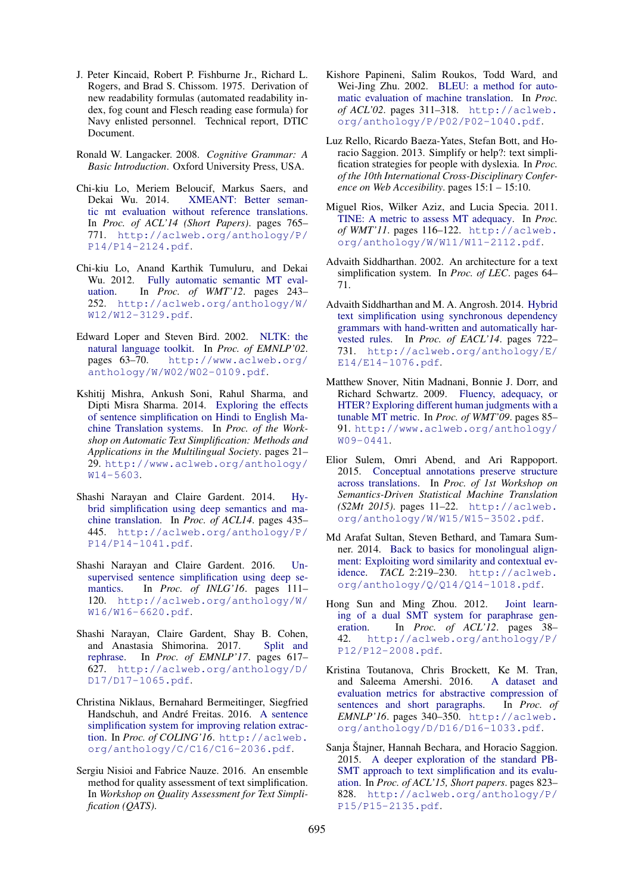- J. Peter Kincaid, Robert P. Fishburne Jr., Richard L. Rogers, and Brad S. Chissom. 1975. Derivation of new readability formulas (automated readability index, fog count and Flesch reading ease formula) for Navy enlisted personnel. Technical report, DTIC Document.
- Ronald W. Langacker. 2008. *Cognitive Grammar: A Basic Introduction*. Oxford University Press, USA.
- Chi-kiu Lo, Meriem Beloucif, Markus Saers, and Dekai Wu. 2014. XMEANT: Better semantic mt evaluation without reference translations. In *Proc. of ACL'14 (Short Papers)*. pages 765– 771. http://aclweb.org/anthology/P/ P14/P14-2124.pdf.
- Chi-kiu Lo, Anand Karthik Tumuluru, and Dekai Wu. 2012. Fully automatic semantic MT evaluation. In *Proc. of WMT'12*. pages 243– 252. http://aclweb.org/anthology/W/ W12/W12-3129.pdf.
- Edward Loper and Steven Bird. 2002. NLTK: the natural language toolkit. In *Proc. of EMNLP'02*. pages 63–70. http://www.aclweb.org/ anthology/W/W02/W02-0109.pdf.
- Kshitij Mishra, Ankush Soni, Rahul Sharma, and Dipti Misra Sharma. 2014. Exploring the effects of sentence simplification on Hindi to English Machine Translation systems. In *Proc. of the Workshop on Automatic Text Simplification: Methods and Applications in the Multilingual Society*. pages 21– 29. http://www.aclweb.org/anthology/ W14-5603.
- Shashi Narayan and Claire Gardent. 2014. Hybrid simplification using deep semantics and machine translation. In *Proc. of ACL14*. pages 435– 445. http://aclweb.org/anthology/P/ P14/P14-1041.pdf.
- Shashi Narayan and Claire Gardent. 2016. Unsupervised sentence simplification using deep semantics. In *Proc. of INLG'16*. pages 111– 120. http://aclweb.org/anthology/W/ W16/W16-6620.pdf.
- Shashi Narayan, Claire Gardent, Shay B. Cohen, and Anastasia Shimorina. 2017. Split and rephrase. In *Proc. of EMNLP'17*. pages 617– 627. http://aclweb.org/anthology/D/ D17/D17-1065.pdf.
- Christina Niklaus, Bernahard Bermeitinger, Siegfried Handschuh, and André Freitas. 2016. A sentence simplification system for improving relation extraction. In *Proc. of COLING'16*. http://aclweb. org/anthology/C/C16/C16-2036.pdf.
- Sergiu Nisioi and Fabrice Nauze. 2016. An ensemble method for quality assessment of text simplification. In *Workshop on Quality Assessment for Text Simplification (QATS)*.
- Kishore Papineni, Salim Roukos, Todd Ward, and Wei-Jing Zhu. 2002. BLEU: a method for automatic evaluation of machine translation. In *Proc. of ACL'02*. pages 311–318. http://aclweb. org/anthology/P/P02/P02-1040.pdf.
- Luz Rello, Ricardo Baeza-Yates, Stefan Bott, and Horacio Saggion. 2013. Simplify or help?: text simplification strategies for people with dyslexia. In *Proc. of the 10th International Cross-Disciplinary Conference on Web Accesibility*. pages 15:1 – 15:10.
- Miguel Rios, Wilker Aziz, and Lucia Specia. 2011. TINE: A metric to assess MT adequacy. In *Proc. of WMT'11*. pages 116–122. http://aclweb. org/anthology/W/W11/W11-2112.pdf.
- Advaith Siddharthan. 2002. An architecture for a text simplification system. In *Proc. of LEC*. pages 64– 71.
- Advaith Siddharthan and M. A. Angrosh. 2014. Hybrid text simplification using synchronous dependency grammars with hand-written and automatically harvested rules. In *Proc. of EACL'14*. pages 722– 731. http://aclweb.org/anthology/E/ E14/E14-1076.pdf.
- Matthew Snover, Nitin Madnani, Bonnie J. Dorr, and Richard Schwartz. 2009. Fluency, adequacy, or HTER? Exploring different human judgments with a tunable MT metric. In *Proc. of WMT'09*. pages 85– 91. http://www.aclweb.org/anthology/ W09-0441.
- Elior Sulem, Omri Abend, and Ari Rappoport. 2015. Conceptual annotations preserve structure across translations. In *Proc. of 1st Workshop on Semantics-Driven Statistical Machine Translation (S2Mt 2015)*. pages 11–22. http://aclweb. org/anthology/W/W15/W15-3502.pdf.
- Md Arafat Sultan, Steven Bethard, and Tamara Sumner. 2014. Back to basics for monolingual alignment: Exploiting word similarity and contextual evidence. *TACL* 2:219–230. http://aclweb. org/anthology/Q/Q14/Q14-1018.pdf.
- Hong Sun and Ming Zhou. 2012. Joint learning of a dual SMT system for paraphrase generation. In *Proc. of ACL'12*. pages 38– 42. http://aclweb.org/anthology/P/ P12/P12-2008.pdf.
- Kristina Toutanova, Chris Brockett, Ke M. Tran, and Saleema Amershi. 2016. A dataset and evaluation metrics for abstractive compression of sentences and short paragraphs. In *Proc. of EMNLP'16*. pages 340–350. http://aclweb. org/anthology/D/D16/D16-1033.pdf.
- Sanja Štajner, Hannah Bechara, and Horacio Saggion. 2015. A deeper exploration of the standard PB-SMT approach to text simplification and its evaluation. In *Proc. of ACL'15, Short papers*. pages 823– 828. http://aclweb.org/anthology/P/ P15/P15-2135.pdf.